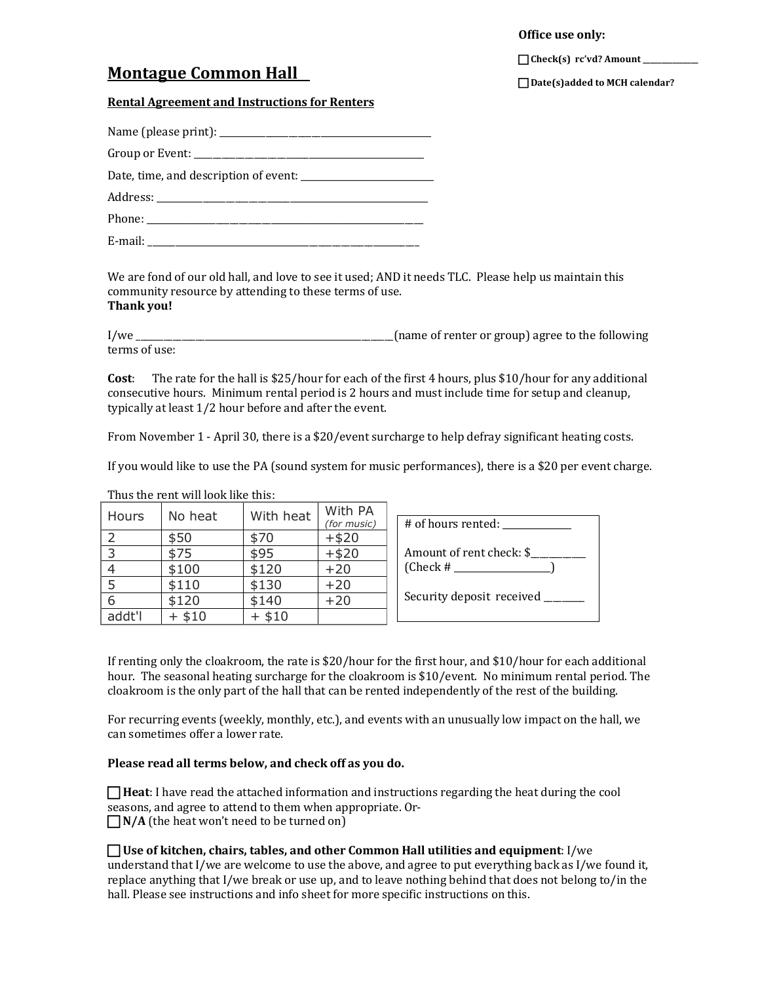**Office use only:** 

Check(s) rc'vd? Amount

# **Montague Common Hall**

**Date(s)added to MCH calendar?** 

#### **Rental Agreement and Instructions for Renters**

We are fond of our old hall, and love to see it used; AND it needs TLC. Please help us maintain this community resource by attending to these terms of use. **Thank you!**

I/we set the set of the set of the set of the set of the set of the set of the following in the set of the following set of the following set of the following set of the following set of the set of the set of the set of th terms of use:

**Cost:** The rate for the hall is \$25/hour for each of the first 4 hours, plus \$10/hour for any additional consecutive hours. Minimum rental period is 2 hours and must include time for setup and cleanup, typically at least 1/2 hour before and after the event.

From November 1 - April 30, there is a \$20/event surcharge to help defray significant heating costs.

If you would like to use the PA (sound system for music performances), there is a \$20 per event charge.

| Hours          | No heat  | With heat | With PA<br>(for music) | # of hours rented:          |
|----------------|----------|-----------|------------------------|-----------------------------|
| -2             | \$50     | \$70      | $+ $20$                |                             |
| $3^{\circ}$    | \$75     | \$95      | $+ $20$                | Amount of rent check: \$    |
| $\overline{4}$ | \$100    | \$120     | $+20$                  | $(Check \# \_$              |
| -5             | \$110    | \$130     | $+20$                  |                             |
| -6             | \$120    | \$140     | $+20$                  | Security deposit received _ |
| addt'l         | $+$ \$10 | $+ $10$   |                        |                             |

Thus the rent will look like this:

If renting only the cloakroom, the rate is  $$20/h$ our for the first hour, and  $$10/h$ our for each additional hour. The seasonal heating surcharge for the cloakroom is \$10/event. No minimum rental period. The cloakroom is the only part of the hall that can be rented independently of the rest of the building.

For recurring events (weekly, monthly, etc.), and events with an unusually low impact on the hall, we can sometimes offer a lower rate.

### Please read all terms below, and check off as you do.

 $\Box$  **Heat**: I have read the attached information and instructions regarding the heat during the cool seasons, and agree to attend to them when appropriate. Or- $\Box N/A$  (the heat won't need to be turned on)

**I** Use of kitchen, chairs, tables, and other Common Hall utilities and equipment: I/we

understand that I/we are welcome to use the above, and agree to put everything back as I/we found it, replace anything that I/we break or use up, and to leave nothing behind that does not belong to/in the hall. Please see instructions and info sheet for more specific instructions on this.